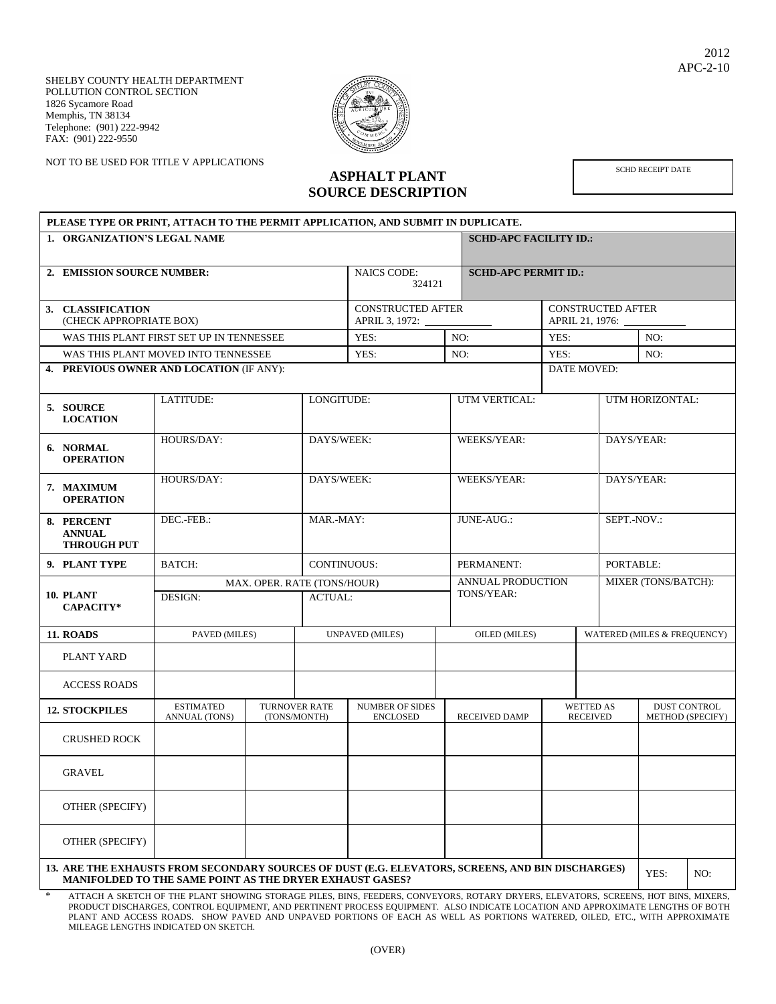SHELBY COUNTY HEALTH DEPARTMENT POLLUTION CONTROL SECTION 1826 Sycamore Road Memphis, TN 38134 Telephone: (901) 222-9942 FAX: (901) 222-9550

NOT TO BE USED FOR TITLE V APPLICATIONS



## **ASPHALT PLANT SOURCE DESCRIPTION**

SCHD RECEIPT DATE

| PLEASE TYPE OR PRINT, ATTACH TO THE PERMIT APPLICATION, AND SUBMIT IN DUPLICATE.                                                                                             |                                          |                                            |                                               |                                           |      |                                        |                          |                                     |                             |                                                |  |  |  |
|------------------------------------------------------------------------------------------------------------------------------------------------------------------------------|------------------------------------------|--------------------------------------------|-----------------------------------------------|-------------------------------------------|------|----------------------------------------|--------------------------|-------------------------------------|-----------------------------|------------------------------------------------|--|--|--|
| 1. ORGANIZATION'S LEGAL NAME                                                                                                                                                 |                                          |                                            |                                               |                                           |      | <b>SCHD-APC FACILITY ID.:</b>          |                          |                                     |                             |                                                |  |  |  |
|                                                                                                                                                                              |                                          |                                            |                                               |                                           |      |                                        |                          |                                     |                             |                                                |  |  |  |
| 2. EMISSION SOURCE NUMBER:                                                                                                                                                   |                                          | <b>NAICS CODE:</b><br>324121               |                                               | <b>SCHD-APC PERMIT ID.:</b>               |      |                                        |                          |                                     |                             |                                                |  |  |  |
| 3. CLASSIFICATION<br>(CHECK APPROPRIATE BOX)                                                                                                                                 |                                          | <b>CONSTRUCTED AFTER</b><br>APRIL 3, 1972: |                                               | APRIL 21, 1976:                           |      |                                        | <b>CONSTRUCTED AFTER</b> |                                     |                             |                                                |  |  |  |
|                                                                                                                                                                              | WAS THIS PLANT FIRST SET UP IN TENNESSEE | YES:                                       | NO:                                           |                                           |      | YES:                                   |                          |                                     | NO:                         |                                                |  |  |  |
|                                                                                                                                                                              | WAS THIS PLANT MOVED INTO TENNESSEE      | YES:                                       |                                               | NO:                                       | YES: |                                        |                          | NO:                                 |                             |                                                |  |  |  |
| 4. PREVIOUS OWNER AND LOCATION (IF ANY):                                                                                                                                     |                                          |                                            |                                               |                                           |      |                                        |                          | DATE MOVED:                         |                             |                                                |  |  |  |
| 5. SOURCE<br><b>LOCATION</b>                                                                                                                                                 | LATITUDE:                                |                                            | LONGITUDE:                                    |                                           |      | UTM VERTICAL:                          |                          |                                     | UTM HORIZONTAL:             |                                                |  |  |  |
| 6. NORMAL<br><b>OPERATION</b>                                                                                                                                                | HOURS/DAY:                               |                                            | DAYS/WEEK:                                    |                                           |      | WEEKS/YEAR:                            |                          |                                     | DAYS/YEAR:                  |                                                |  |  |  |
| 7. MAXIMUM<br><b>OPERATION</b>                                                                                                                                               | HOURS/DAY:                               |                                            | DAYS/WEEK:                                    |                                           |      | WEEKS/YEAR:                            |                          |                                     | DAYS/YEAR:                  |                                                |  |  |  |
| 8. PERCENT<br><b>ANNUAL</b><br><b>THROUGH PUT</b>                                                                                                                            | DEC.-FEB.:                               |                                            | MAR.-MAY:                                     |                                           |      | JUNE-AUG.:                             |                          |                                     | SEPT.-NOV.:                 |                                                |  |  |  |
| 9. PLANT TYPE                                                                                                                                                                | <b>BATCH:</b>                            |                                            | <b>CONTINUOUS:</b>                            |                                           |      | PERMANENT:                             |                          |                                     | PORTABLE:                   |                                                |  |  |  |
| 10. PLANT<br><b>CAPACITY*</b>                                                                                                                                                | DESIGN:                                  |                                            | MAX. OPER. RATE (TONS/HOUR)<br><b>ACTUAL:</b> |                                           |      | <b>ANNUAL PRODUCTION</b><br>TONS/YEAR: |                          |                                     | MIXER (TONS/BATCH):         |                                                |  |  |  |
| 11. ROADS                                                                                                                                                                    | PAVED (MILES)                            |                                            | <b>UNPAVED (MILES)</b>                        |                                           |      | OILED (MILES)                          |                          |                                     | WATERED (MILES & FREQUENCY) |                                                |  |  |  |
| PLANT YARD                                                                                                                                                                   |                                          |                                            |                                               |                                           |      |                                        |                          |                                     |                             |                                                |  |  |  |
| <b>ACCESS ROADS</b>                                                                                                                                                          |                                          |                                            |                                               |                                           |      |                                        |                          |                                     |                             |                                                |  |  |  |
| <b>12. STOCKPILES</b>                                                                                                                                                        | <b>ESTIMATED</b><br>ANNUAL (TONS)        | <b>TURNOVER RATE</b><br>(TONS/MONTH)       |                                               | <b>NUMBER OF SIDES</b><br><b>ENCLOSED</b> |      | <b>RECEIVED DAMP</b>                   |                          | <b>WETTED AS</b><br><b>RECEIVED</b> |                             | <b>DUST CONTROL</b><br><b>METHOD (SPECIFY)</b> |  |  |  |
| <b>CRUSHED ROCK</b>                                                                                                                                                          |                                          |                                            |                                               |                                           |      |                                        |                          |                                     |                             |                                                |  |  |  |
| <b>GRAVEL</b>                                                                                                                                                                |                                          |                                            |                                               |                                           |      |                                        |                          |                                     |                             |                                                |  |  |  |
| OTHER (SPECIFY)                                                                                                                                                              |                                          |                                            |                                               |                                           |      |                                        |                          |                                     |                             |                                                |  |  |  |
| OTHER (SPECIFY)                                                                                                                                                              |                                          |                                            |                                               |                                           |      |                                        |                          |                                     |                             |                                                |  |  |  |
| 13. ARE THE EXHAUSTS FROM SECONDARY SOURCES OF DUST (E.G. ELEVATORS, SCREENS, AND BIN DISCHARGES)<br>YES:<br>NO:<br>MANIFOLDED TO THE SAME POINT AS THE DRYER EXHAUST GASES? |                                          |                                            |                                               |                                           |      |                                        |                          |                                     |                             |                                                |  |  |  |

ATTACH A SKETCH OF THE PLANT SHOWING STORAGE PILES, BINS, FEEDERS, CONVEYORS, ROTARY DRYERS, ELEVATORS, SCREENS, HOT BINS, MIXERS, PRODUCT DISCHARGES, CONTROL EQUIPMENT, AND PERTINENT PROCESS EQUIPMENT. ALSO INDICATE LOCATION AND APPROXIMATE LENGTHS OF BOTH PLANT AND ACCESS ROADS. SHOW PAVED AND UNPAVED PORTIONS OF EACH AS WELL AS PORTIONS WATERED, OILED, ETC., WITH APPROXIMATE MILEAGE LENGTHS INDICATED ON SKETCH.

2012 APC-2-10